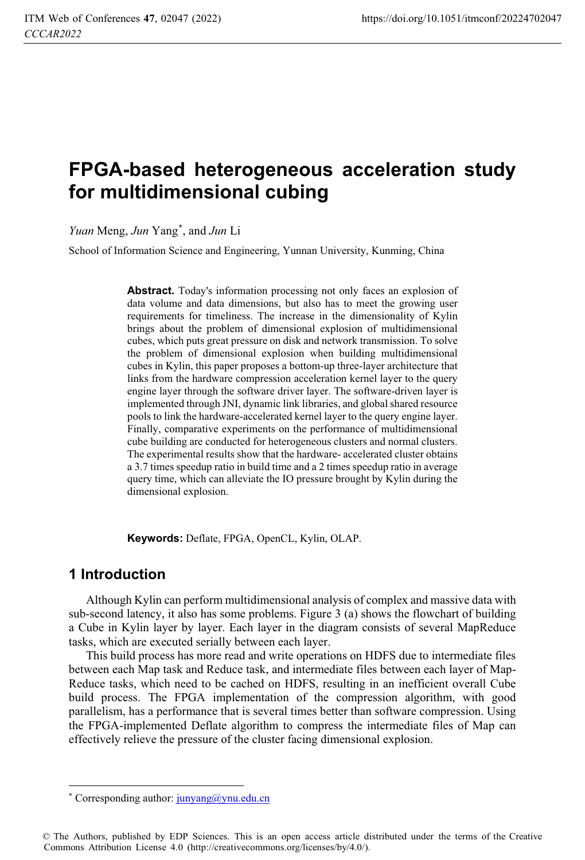# **FPGA-based heterogeneous acceleration study for multidimensional cubing**

*Yuan* Meng, *Jun* Yang\* , and *Jun* Li

School of Information Science and Engineering, Yunnan University, Kunming, China

**Abstract.** Today's information processing not only faces an explosion of data volume and data dimensions, but also has to meet the growing user requirements for timeliness. The increase in the dimensionality of Kylin brings about the problem of dimensional explosion of multidimensional cubes, which puts great pressure on disk and network transmission. To solve the problem of dimensional explosion when building multidimensional cubes in Kylin, this paper proposes a bottom-up three-layer architecture that links from the hardware compression acceleration kernel layer to the query engine layer through the software driver layer. The software-driven layer is implemented through JNI, dynamic link libraries, and global shared resource pools to link the hardware-accelerated kernel layer to the query engine layer. Finally, comparative experiments on the performance of multidimensional cube building are conducted for heterogeneous clusters and normal clusters. The experimental results show that the hardware- accelerated cluster obtains a 3.7 times speedup ratio in build time and a 2 times speedup ratio in average query time, which can alleviate the IO pressure brought by Kylin during the dimensional explosion.

**Keywords:** Deflate, FPGA, OpenCL, Kylin, OLAP.

# **1 Introduction**

 $\ddot{\phantom{a}}$ 

Although Kylin can perform multidimensional analysis of complex and massive data with sub-second latency, it also has some problems. Figure 3 (a) shows the flowchart of building a Cube in Kylin layer by layer. Each layer in the diagram consists of several MapReduce tasks, which are executed serially between each layer.

This build process has more read and write operations on HDFS due to intermediate files between each Map task and Reduce task, and intermediate files between each layer of Map-Reduce tasks, which need to be cached on HDFS, resulting in an inefficient overall Cube build process. The FPGA implementation of the compression algorithm, with good parallelism, has a performance that is several times better than software compression. Using the FPGA-implemented Deflate algorithm to compress the intermediate files of Map can effectively relieve the pressure of the cluster facing dimensional explosion.

<sup>\*</sup> Corresponding author:  $j$ unyang@ynu.edu.cn

<sup>©</sup> The Authors, published by EDP Sciences. This is an open access article distributed under the terms of the Creative Commons Attribution License 4.0 (http://creativecommons.org/licenses/by/4.0/).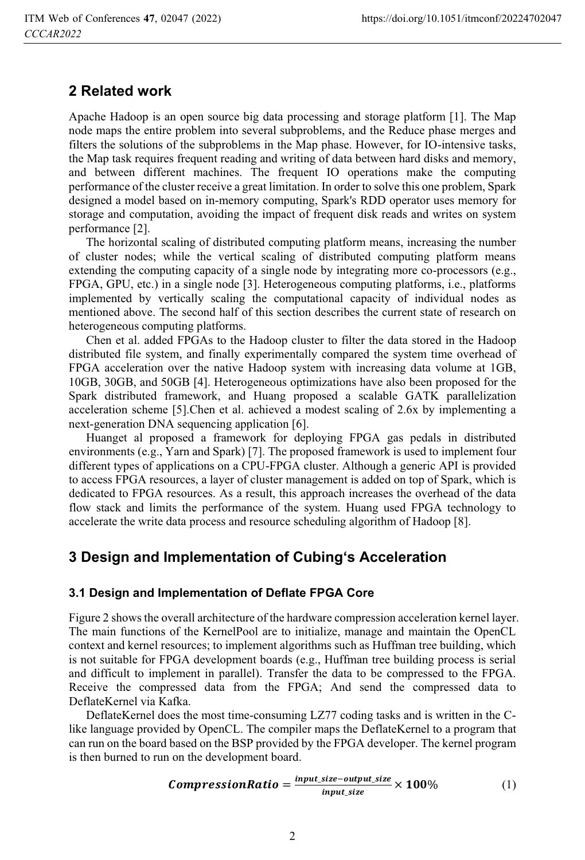# **2 Related work**

Apache Hadoop is an open source big data processing and storage platform [1]. The Map node maps the entire problem into several subproblems, and the Reduce phase merges and filters the solutions of the subproblems in the Map phase. However, for IO-intensive tasks, the Map task requires frequent reading and writing of data between hard disks and memory, and between different machines. The frequent IO operations make the computing performance of the cluster receive a great limitation. In order to solve this one problem, Spark designed a model based on in-memory computing, Spark's RDD operator uses memory for storage and computation, avoiding the impact of frequent disk reads and writes on system performance [2].

The horizontal scaling of distributed computing platform means, increasing the number of cluster nodes; while the vertical scaling of distributed computing platform means extending the computing capacity of a single node by integrating more co-processors (e.g., FPGA, GPU, etc.) in a single node [3]. Heterogeneous computing platforms, i.e., platforms implemented by vertically scaling the computational capacity of individual nodes as mentioned above. The second half of this section describes the current state of research on heterogeneous computing platforms.

Chen et al. added FPGAs to the Hadoop cluster to filter the data stored in the Hadoop distributed file system, and finally experimentally compared the system time overhead of FPGA acceleration over the native Hadoop system with increasing data volume at 1GB, 10GB, 30GB, and 50GB [4]. Heterogeneous optimizations have also been proposed for the Spark distributed framework, and Huang proposed a scalable GATK parallelization acceleration scheme [5].Chen et al. achieved a modest scaling of 2.6x by implementing a next-generation DNA sequencing application [6].

Huanget al proposed a framework for deploying FPGA gas pedals in distributed environments (e.g., Yarn and Spark) [7]. The proposed framework is used to implement four different types of applications on a CPU-FPGA cluster. Although a generic API is provided to access FPGA resources, a layer of cluster management is added on top of Spark, which is dedicated to FPGA resources. As a result, this approach increases the overhead of the data flow stack and limits the performance of the system. Huang used FPGA technology to accelerate the write data process and resource scheduling algorithm of Hadoop [8].

# **3 Design and Implementation of Cubing's Acceleration**

#### **3.1 Design and Implementation of Deflate FPGA Core**

Figure 2 shows the overall architecture of the hardware compression acceleration kernel layer. The main functions of the KernelPool are to initialize, manage and maintain the OpenCL context and kernel resources; to implement algorithms such as Huffman tree building, which is not suitable for FPGA development boards (e.g., Huffman tree building process is serial and difficult to implement in parallel). Transfer the data to be compressed to the FPGA. Receive the compressed data from the FPGA; And send the compressed data to DeflateKernel via Kafka.

DeflateKernel does the most time-consuming LZ77 coding tasks and is written in the Clike language provided by OpenCL. The compiler maps the DeflateKernel to a program that can run on the board based on the BSP provided by the FPGA developer. The kernel program is then burned to run on the development board.

**CompressionRatio =** 
$$
\frac{input\_size - output\_size}{input\_size} \times 100\%
$$
 (1)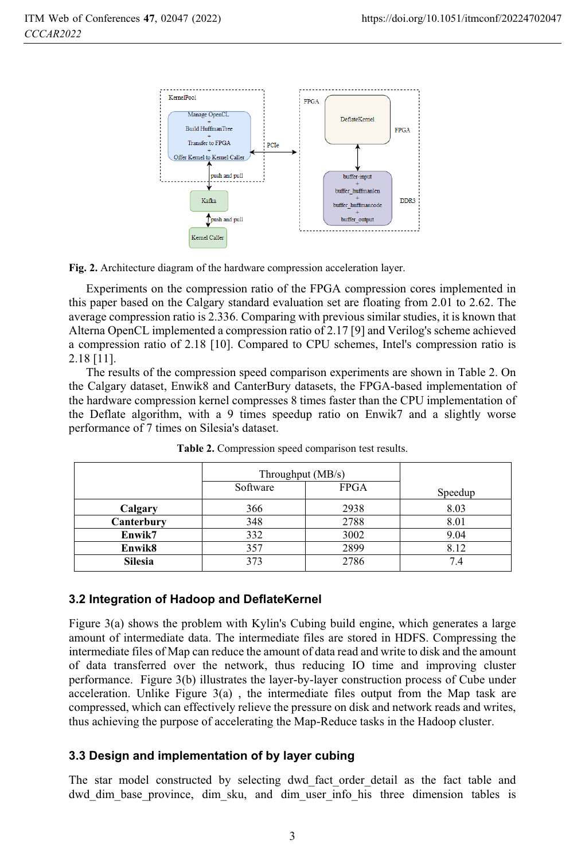

**Fig. 2.** Architecture diagram of the hardware compression acceleration layer.

Experiments on the compression ratio of the FPGA compression cores implemented in this paper based on the Calgary standard evaluation set are floating from 2.01 to 2.62. The average compression ratio is 2.336. Comparing with previous similar studies, it is known that Alterna OpenCL implemented a compression ratio of 2.17 [9] and Verilog's scheme achieved a compression ratio of 2.18 [10]. Compared to CPU schemes, Intel's compression ratio is 2.18 [11].

The results of the compression speed comparison experiments are shown in Table 2. On the Calgary dataset, Enwik8 and CanterBury datasets, the FPGA-based implementation of the hardware compression kernel compresses 8 times faster than the CPU implementation of the Deflate algorithm, with a 9 times speedup ratio on Enwik7 and a slightly worse performance of 7 times on Silesia's dataset.

|                | Throughput (MB/s) |             |         |
|----------------|-------------------|-------------|---------|
|                | Software          | <b>FPGA</b> | Speedup |
| Calgary        | 366               | 2938        | 8.03    |
| Canterbury     | 348               | 2788        | 8.01    |
| Enwik7         | 332               | 3002        | 9.04    |
| Enwik8         | 357               | 2899        | 8.12    |
| <b>Silesia</b> | 373               | 2786        | 7.4     |

**Table 2.** Compression speed comparison test results.

#### **3.2 Integration of Hadoop and DeflateKernel**

Figure 3(a) shows the problem with Kylin's Cubing build engine, which generates a large amount of intermediate data. The intermediate files are stored in HDFS. Compressing the intermediate files of Map can reduce the amount of data read and write to disk and the amount of data transferred over the network, thus reducing IO time and improving cluster performance. Figure 3(b) illustrates the layer-by-layer construction process of Cube under acceleration. Unlike Figure 3(a) , the intermediate files output from the Map task are compressed, which can effectively relieve the pressure on disk and network reads and writes, thus achieving the purpose of accelerating the Map-Reduce tasks in the Hadoop cluster.

### **3.3 Design and implementation of by layer cubing**

The star model constructed by selecting dwd fact order detail as the fact table and dwd dim base province, dim sku, and dim user info his three dimension tables is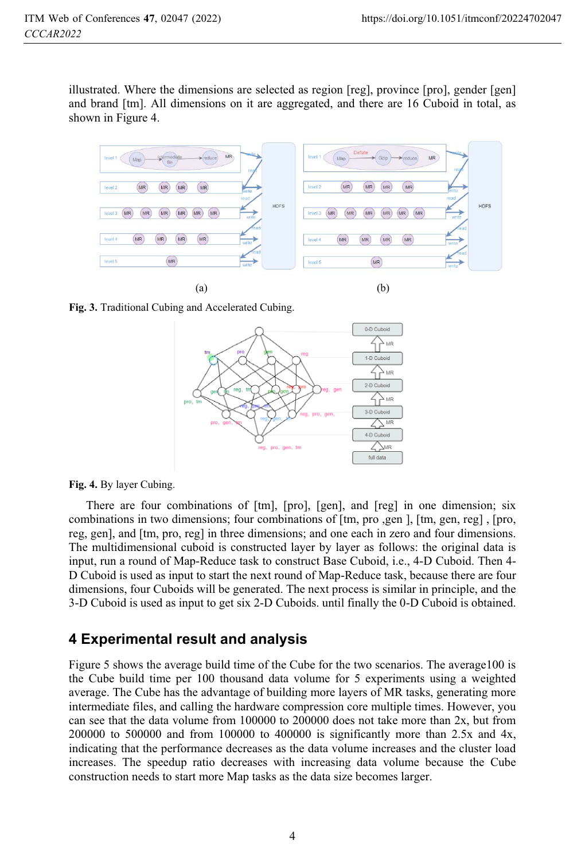illustrated. Where the dimensions are selected as region [reg], province [pro], gender [gen] and brand [tm]. All dimensions on it are aggregated, and there are 16 Cuboid in total, as shown in Figure 4.



**Fig. 3.** Traditional Cubing and Accelerated Cubing.



**Fig. 4.** By layer Cubing.

There are four combinations of [tm], [pro], [gen], and [reg] in one dimension; six combinations in two dimensions; four combinations of [tm, pro ,gen ], [tm, gen, reg] , [pro, reg, gen], and [tm, pro, reg] in three dimensions; and one each in zero and four dimensions. The multidimensional cuboid is constructed layer by layer as follows: the original data is input, run a round of Map-Reduce task to construct Base Cuboid, i.e., 4-D Cuboid. Then 4- D Cuboid is used as input to start the next round of Map-Reduce task, because there are four dimensions, four Cuboids will be generated. The next process is similar in principle, and the 3-D Cuboid is used as input to get six 2-D Cuboids. until finally the 0-D Cuboid is obtained.

# **4 Experimental result and analysis**

Figure 5 shows the average build time of the Cube for the two scenarios. The average100 is the Cube build time per 100 thousand data volume for 5 experiments using a weighted average. The Cube has the advantage of building more layers of MR tasks, generating more intermediate files, and calling the hardware compression core multiple times. However, you can see that the data volume from 100000 to 200000 does not take more than 2x, but from 200000 to 500000 and from 100000 to 400000 is significantly more than 2.5x and 4x, indicating that the performance decreases as the data volume increases and the cluster load increases. The speedup ratio decreases with increasing data volume because the Cube construction needs to start more Map tasks as the data size becomes larger.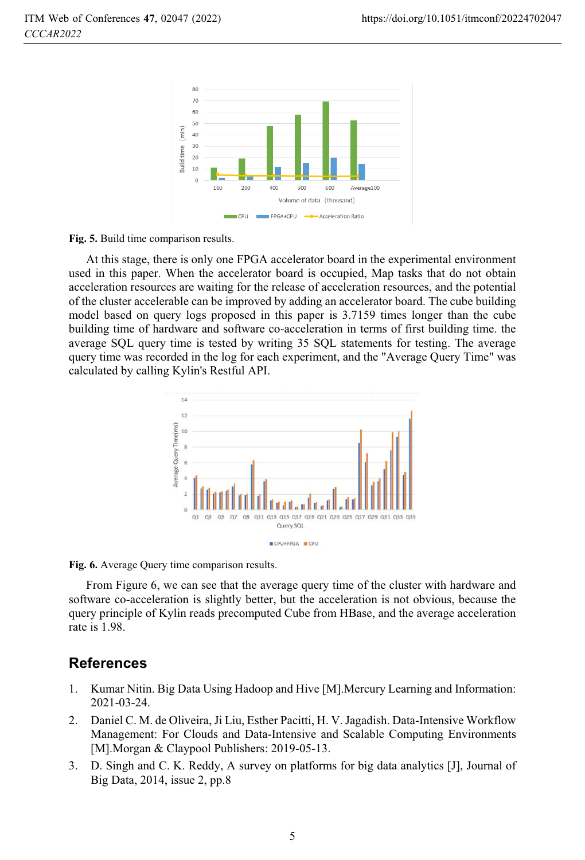

**Fig. 5.** Build time comparison results.

At this stage, there is only one FPGA accelerator board in the experimental environment used in this paper. When the accelerator board is occupied, Map tasks that do not obtain acceleration resources are waiting for the release of acceleration resources, and the potential of the cluster accelerable can be improved by adding an accelerator board. The cube building model based on query logs proposed in this paper is 3.7159 times longer than the cube building time of hardware and software co-acceleration in terms of first building time. the average SQL query time is tested by writing 35 SQL statements for testing. The average query time was recorded in the log for each experiment, and the "Average Query Time" was calculated by calling Kylin's Restful API.



**Fig. 6.** Average Query time comparison results.

From Figure 6, we can see that the average query time of the cluster with hardware and software co-acceleration is slightly better, but the acceleration is not obvious, because the query principle of Kylin reads precomputed Cube from HBase, and the average acceleration rate is 1.98.

# **References**

- 1. Kumar Nitin. Big Data Using Hadoop and Hive [M].Mercury Learning and Information: 2021-03-24.
- 2. Daniel C. M. de Oliveira, Ji Liu, Esther Pacitti, H. V. Jagadish. Data-Intensive Workflow Management: For Clouds and Data-Intensive and Scalable Computing Environments [M].Morgan & Claypool Publishers: 2019-05-13.
- 3. D. Singh and C. K. Reddy, A survey on platforms for big data analytics [J], Journal of Big Data, 2014, issue 2, pp.8